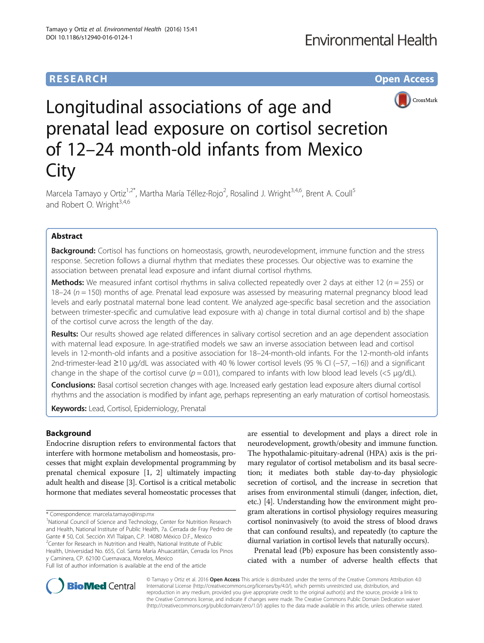# **RESEARCH CHE Open Access**



# Longitudinal associations of age and prenatal lead exposure on cortisol secretion of 12–24 month-old infants from Mexico **City**

Marcela Tamayo y Ortiz<sup>1,2\*</sup>, Martha María Téllez-Rojo<sup>2</sup>, Rosalind J. Wright<sup>3,4,6</sup>, Brent A. Coull<sup>5</sup> and Robert O. Wright<sup>3,4,6</sup>

# Abstract

Background: Cortisol has functions on homeostasis, growth, neurodevelopment, immune function and the stress response. Secretion follows a diurnal rhythm that mediates these processes. Our objective was to examine the association between prenatal lead exposure and infant diurnal cortisol rhythms.

**Methods:** We measured infant cortisol rhythms in saliva collected repeatedly over 2 days at either 12 ( $n = 255$ ) or 18–24 ( $n = 150$ ) months of age. Prenatal lead exposure was assessed by measuring maternal pregnancy blood lead levels and early postnatal maternal bone lead content. We analyzed age-specific basal secretion and the association between trimester-specific and cumulative lead exposure with a) change in total diurnal cortisol and b) the shape of the cortisol curve across the length of the day.

Results: Our results showed age related differences in salivary cortisol secretion and an age dependent association with maternal lead exposure. In age-stratified models we saw an inverse association between lead and cortisol levels in 12-month-old infants and a positive association for 18–24-month-old infants. For the 12-month-old infants 2nd-trimester-lead ≥10 μg/dL was associated with 40 % lower cortisol levels (95 % CI (−57, −16)) and a significant change in the shape of the cortisol curve  $(p = 0.01)$ , compared to infants with low blood lead levels (<5 µg/dL).

Conclusions: Basal cortisol secretion changes with age. Increased early gestation lead exposure alters diurnal cortisol rhythms and the association is modified by infant age, perhaps representing an early maturation of cortisol homeostasis.

Keywords: Lead, Cortisol, Epidemiology, Prenatal

# **Background**

Endocrine disruption refers to environmental factors that interfere with hormone metabolism and homeostasis, processes that might explain developmental programming by prenatal chemical exposure [[1, 2](#page-7-0)] ultimately impacting adult health and disease [\[3](#page-7-0)]. Cortisol is a critical metabolic hormone that mediates several homeostatic processes that

<sup>1</sup>National Council of Science and Technology, Center for Nutrition Research and Health, National Institute of Public Health, 7a. Cerrada de Fray Pedro de Gante # 50, Col. Sección XVI Tlalpan, C.P. 14080 México D.F., Mexico <sup>2</sup> Center for Research in Nutrition and Health, National Institute of Public Health, Universidad No. 655, Col. Santa María Ahuacatitlán, Cerrada los Pinos y Caminera, CP. 62100 Cuernavaca, Morelos, Mexico Full list of author information is available at the end of the article

are essential to development and plays a direct role in neurodevelopment, growth/obesity and immune function. The hypothalamic-pituitary-adrenal (HPA) axis is the primary regulator of cortisol metabolism and its basal secretion; it mediates both stable day-to-day physiologic secretion of cortisol, and the increase in secretion that arises from environmental stimuli (danger, infection, diet, etc.) [\[4\]](#page-7-0). Understanding how the environment might program alterations in cortisol physiology requires measuring cortisol noninvasively (to avoid the stress of blood draws that can confound results), and repeatedly (to capture the diurnal variation in cortisol levels that naturally occurs).

Prenatal lead (Pb) exposure has been consistently associated with a number of adverse health effects that



© Tamayo y Ortiz et al. 2016 **Open Access** This article is distributed under the terms of the Creative Commons Attribution 4.0 International License [\(http://creativecommons.org/licenses/by/4.0/](http://creativecommons.org/licenses/by/4.0/)), which permits unrestricted use, distribution, and reproduction in any medium, provided you give appropriate credit to the original author(s) and the source, provide a link to the Creative Commons license, and indicate if changes were made. The Creative Commons Public Domain Dedication waiver [\(http://creativecommons.org/publicdomain/zero/1.0/](http://creativecommons.org/publicdomain/zero/1.0/)) applies to the data made available in this article, unless otherwise stated.

<sup>\*</sup> Correspondence: [marcela.tamayo@insp.mx](mailto:marcela.tamayo@insp.mx) <sup>1</sup>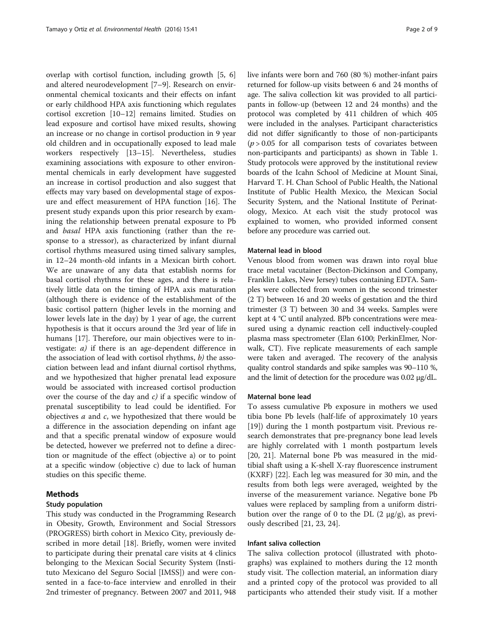overlap with cortisol function, including growth [[5](#page-7-0), [6](#page-7-0)] and altered neurodevelopment [[7](#page-7-0)–[9\]](#page-7-0). Research on environmental chemical toxicants and their effects on infant or early childhood HPA axis functioning which regulates cortisol excretion [\[10](#page-7-0)–[12\]](#page-7-0) remains limited. Studies on lead exposure and cortisol have mixed results, showing an increase or no change in cortisol production in 9 year old children and in occupationally exposed to lead male workers respectively [[13](#page-7-0)–[15](#page-7-0)]. Nevertheless, studies examining associations with exposure to other environmental chemicals in early development have suggested an increase in cortisol production and also suggest that effects may vary based on developmental stage of exposure and effect measurement of HPA function [\[16](#page-7-0)]. The present study expands upon this prior research by examining the relationship between prenatal exposure to Pb and basal HPA axis functioning (rather than the response to a stressor), as characterized by infant diurnal cortisol rhythms measured using timed salivary samples, in 12–24 month-old infants in a Mexican birth cohort. We are unaware of any data that establish norms for basal cortisol rhythms for these ages, and there is relatively little data on the timing of HPA axis maturation (although there is evidence of the establishment of the basic cortisol pattern (higher levels in the morning and lower levels late in the day) by 1 year of age, the current hypothesis is that it occurs around the 3rd year of life in humans [[17](#page-7-0)]. Therefore, our main objectives were to investigate:  $a$ ) if there is an age-dependent difference in the association of lead with cortisol rhythms,  $b$ ) the association between lead and infant diurnal cortisol rhythms, and we hypothesized that higher prenatal lead exposure would be associated with increased cortisol production over the course of the day and  $c$ ) if a specific window of prenatal susceptibility to lead could be identified. For objectives  $a$  and  $c$ , we hypothesized that there would be a difference in the association depending on infant age and that a specific prenatal window of exposure would be detected, however we preferred not to define a direction or magnitude of the effect (objective a) or to point at a specific window (objective c) due to lack of human studies on this specific theme.

# Methods

## Study population

This study was conducted in the Programming Research in Obesity, Growth, Environment and Social Stressors (PROGRESS) birth cohort in Mexico City, previously described in more detail [\[18](#page-7-0)]. Briefly, women were invited to participate during their prenatal care visits at 4 clinics belonging to the Mexican Social Security System (Instituto Mexicano del Seguro Social [IMSS]) and were consented in a face-to-face interview and enrolled in their 2nd trimester of pregnancy. Between 2007 and 2011, 948 live infants were born and 760 (80 %) mother-infant pairs returned for follow-up visits between 6 and 24 months of age. The saliva collection kit was provided to all participants in follow-up (between 12 and 24 months) and the protocol was completed by 411 children of which 405 were included in the analyses. Participant characteristics did not differ significantly to those of non-participants  $(p > 0.05$  for all comparison tests of covariates between non-participants and participants) as shown in Table [1](#page-2-0). Study protocols were approved by the institutional review boards of the Icahn School of Medicine at Mount Sinai, Harvard T. H. Chan School of Public Health, the National Institute of Public Health Mexico, the Mexican Social Security System, and the National Institute of Perinatology, Mexico. At each visit the study protocol was explained to women, who provided informed consent before any procedure was carried out.

## Maternal lead in blood

Venous blood from women was drawn into royal blue trace metal vacutainer (Becton-Dickinson and Company, Franklin Lakes, New Jersey) tubes containing EDTA. Samples were collected from women in the second trimester (2 T) between 16 and 20 weeks of gestation and the third trimester (3 T) between 30 and 34 weeks. Samples were kept at 4 °C until analyzed. BPb concentrations were measured using a dynamic reaction cell inductively-coupled plasma mass spectrometer (Elan 6100; PerkinElmer, Norwalk, CT). Five replicate measurements of each sample were taken and averaged. The recovery of the analysis quality control standards and spike samples was 90–110 %, and the limit of detection for the procedure was 0.02 μg/dL.

## Maternal bone lead

To assess cumulative Pb exposure in mothers we used tibia bone Pb levels (half-life of approximately 10 years [[19\]](#page-7-0)) during the 1 month postpartum visit. Previous research demonstrates that pre-pregnancy bone lead levels are highly correlated with 1 month postpartum levels [[20, 21](#page-7-0)]. Maternal bone Pb was measured in the midtibial shaft using a K-shell X-ray fluorescence instrument (KXRF) [[22\]](#page-8-0). Each leg was measured for 30 min, and the results from both legs were averaged, weighted by the inverse of the measurement variance. Negative bone Pb values were replaced by sampling from a uniform distribution over the range of 0 to the DL  $(2 \mu g/g)$ , as previously described [[21,](#page-7-0) [23](#page-8-0), [24](#page-8-0)].

## Infant saliva collection

The saliva collection protocol (illustrated with photographs) was explained to mothers during the 12 month study visit. The collection material, an information diary and a printed copy of the protocol was provided to all participants who attended their study visit. If a mother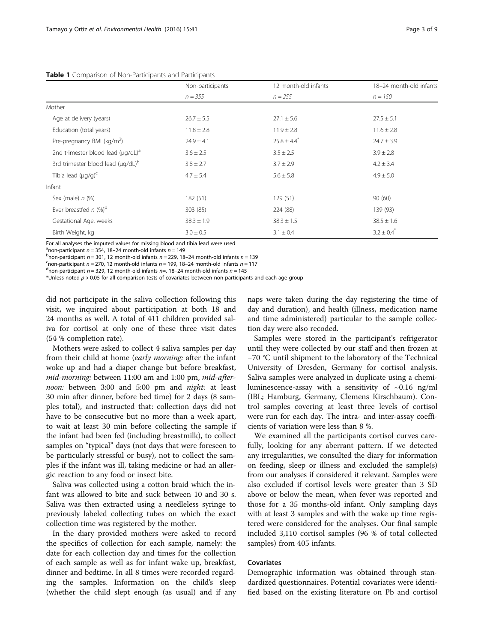<span id="page-2-0"></span>

|  |  | <b>Table 1</b> Comparison of Non-Participants and Participants |  |  |
|--|--|----------------------------------------------------------------|--|--|
|--|--|----------------------------------------------------------------|--|--|

|                                                     | Non-participants | 12 month-old infants        | 18-24 month-old infants<br>$n = 150$ |  |
|-----------------------------------------------------|------------------|-----------------------------|--------------------------------------|--|
|                                                     | $n = 355$        | $n = 255$                   |                                      |  |
| Mother                                              |                  |                             |                                      |  |
| Age at delivery (years)                             | $26.7 \pm 5.5$   | $27.1 \pm 5.6$              | $27.5 \pm 5.1$                       |  |
| Education (total years)                             | $11.8 \pm 2.8$   | $11.9 \pm 2.8$              | $11.6 \pm 2.8$                       |  |
| Pre-pregnancy BMI ( $kg/m2$ )                       | $24.9 \pm 4.1$   | $25.8 \pm 4.4$ <sup>*</sup> | $24.7 \pm 3.9$                       |  |
| 2nd trimester blood lead ( $\mu$ g/dL) <sup>a</sup> | $3.6 \pm 2.5$    | $3.5 \pm 2.5$               | $3.9 \pm 2.8$                        |  |
| 3rd trimester blood lead $(\mu q/dL)^b$             | $3.8 \pm 2.7$    | $3.7 \pm 2.9$               | $4.2 \pm 3.4$                        |  |
| Tibia lead $(\mu q/q)^c$                            | $4.7 \pm 5.4$    | $5.6 \pm 5.8$               | $4.9 \pm 5.0$                        |  |
| Infant                                              |                  |                             |                                      |  |
| Sex (male) $n$ (%)                                  | 182 (51)         | 129(51)                     | 90(60)                               |  |
| Ever breastfed $n$ (%) <sup>d</sup>                 | 303 (85)         | 224 (88)                    | 139 (93)                             |  |
| Gestational Age, weeks                              | $38.3 \pm 1.9$   | $38.3 \pm 1.5$              | $38.5 \pm 1.6$                       |  |
| Birth Weight, kg                                    | $3.0 \pm 0.5$    | $3.1 \pm 0.4$               | $3.2 \pm 0.4^*$                      |  |

For all analyses the imputed values for missing blood and tibia lead were used

<sup>a</sup> non-participant  $n = 354$ , 18–24 month-old infants  $n = 149$ <br>boon participant  $n = 201, 12$  month old infants  $n = 220, 19$ 

 $b$ non-participant n = 301, 12 month-old infants n = 229, 18–24 month-old infants n = 139

 $n =$  non-participant  $n = 270$ , 12 month-old infants  $n = 199$ , 18–24 month-old infants  $n = 117$ 

<sup>d</sup> non-participant  $n = 329$ , 12 month-old infants  $n = 18-24$  month-old infants  $n = 145$ 

\*Unless noted  $p > 0.05$  for all comparison tests of covariates between non-participants and each age group

did not participate in the saliva collection following this visit, we inquired about participation at both 18 and 24 months as well. A total of 411 children provided saliva for cortisol at only one of these three visit dates (54 % completion rate).

Mothers were asked to collect 4 saliva samples per day from their child at home (early morning: after the infant woke up and had a diaper change but before breakfast, mid-morning: between 11:00 am and 1:00 pm, mid-afternoon: between 3:00 and 5:00 pm and night: at least 30 min after dinner, before bed time) for 2 days (8 samples total), and instructed that: collection days did not have to be consecutive but no more than a week apart, to wait at least 30 min before collecting the sample if the infant had been fed (including breastmilk), to collect samples on "typical" days (not days that were foreseen to be particularly stressful or busy), not to collect the samples if the infant was ill, taking medicine or had an allergic reaction to any food or insect bite.

Saliva was collected using a cotton braid which the infant was allowed to bite and suck between 10 and 30 s. Saliva was then extracted using a needleless syringe to previously labeled collecting tubes on which the exact collection time was registered by the mother.

In the diary provided mothers were asked to record the specifics of collection for each sample, namely: the date for each collection day and times for the collection of each sample as well as for infant wake up, breakfast, dinner and bedtime. In all 8 times were recorded regarding the samples. Information on the child's sleep (whether the child slept enough (as usual) and if any naps were taken during the day registering the time of day and duration), and health (illness, medication name and time administered) particular to the sample collection day were also recoded.

Samples were stored in the participant's refrigerator until they were collected by our staff and then frozen at −70 °C until shipment to the laboratory of the Technical University of Dresden, Germany for cortisol analysis. Saliva samples were analyzed in duplicate using a chemiluminescence-assay with a sensitivity of  $\sim 0.16$  ng/ml (IBL; Hamburg, Germany, Clemens Kirschbaum). Control samples covering at least three levels of cortisol were run for each day. The intra- and inter-assay coefficients of variation were less than 8 %.

We examined all the participants cortisol curves carefully, looking for any aberrant pattern. If we detected any irregularities, we consulted the diary for information on feeding, sleep or illness and excluded the sample(s) from our analyses if considered it relevant. Samples were also excluded if cortisol levels were greater than 3 SD above or below the mean, when fever was reported and those for a 35 months-old infant. Only sampling days with at least 3 samples and with the wake up time registered were considered for the analyses. Our final sample included 3,110 cortisol samples (96 % of total collected samples) from 405 infants.

# Covariates

Demographic information was obtained through standardized questionnaires. Potential covariates were identified based on the existing literature on Pb and cortisol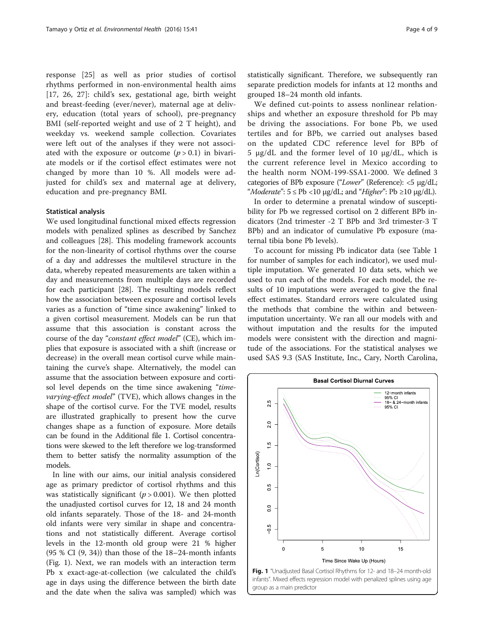<span id="page-3-0"></span>response [[25\]](#page-8-0) as well as prior studies of cortisol rhythms performed in non-environmental health aims [[17,](#page-7-0) [26](#page-8-0), [27\]](#page-8-0): child's sex, gestational age, birth weight and breast-feeding (ever/never), maternal age at delivery, education (total years of school), pre-pregnancy BMI (self-reported weight and use of 2 T height), and weekday vs. weekend sample collection. Covariates were left out of the analyses if they were not associated with the exposure or outcome  $(p > 0.1)$  in bivariate models or if the cortisol effect estimates were not changed by more than 10 %. All models were adjusted for child's sex and maternal age at delivery, education and pre-pregnancy BMI.

#### Statistical analysis

We used longitudinal functional mixed effects regression models with penalized splines as described by Sanchez and colleagues [[28\]](#page-8-0). This modeling framework accounts for the non-linearity of cortisol rhythms over the course of a day and addresses the multilevel structure in the data, whereby repeated measurements are taken within a day and measurements from multiple days are recorded for each participant [\[28\]](#page-8-0). The resulting models reflect how the association between exposure and cortisol levels varies as a function of "time since awakening" linked to a given cortisol measurement. Models can be run that assume that this association is constant across the course of the day "constant effect model" (CE), which implies that exposure is associated with a shift (increase or decrease) in the overall mean cortisol curve while maintaining the curve's shape. Alternatively, the model can assume that the association between exposure and cortisol level depends on the time since awakening "timevarying-effect model" (TVE), which allows changes in the shape of the cortisol curve. For the TVE model, results are illustrated graphically to present how the curve changes shape as a function of exposure. More details can be found in the Additional file [1](#page-7-0). Cortisol concentrations were skewed to the left therefore we log-transformed them to better satisfy the normality assumption of the models.

In line with our aims, our initial analysis considered age as primary predictor of cortisol rhythms and this was statistically significant ( $p > 0.001$ ). We then plotted the unadjusted cortisol curves for 12, 18 and 24 month old infants separately. Those of the 18- and 24-month old infants were very similar in shape and concentrations and not statistically different. Average cortisol levels in the 12-month old group were 21 % higher (95 % CI (9, 34)) than those of the 18–24-month infants (Fig. 1). Next, we ran models with an interaction term Pb x exact-age-at-collection (we calculated the child's age in days using the difference between the birth date and the date when the saliva was sampled) which was statistically significant. Therefore, we subsequently ran separate prediction models for infants at 12 months and grouped 18–24 month old infants.

We defined cut-points to assess nonlinear relationships and whether an exposure threshold for Pb may be driving the associations. For bone Pb, we used tertiles and for BPb, we carried out analyses based on the updated CDC reference level for BPb of 5 μg/dL and the former level of 10 μg/dL, which is the current reference level in Mexico according to the health norm NOM-199-SSA1-2000. We defined 3 categories of BPb exposure ("Lower" (Reference): <5 μg/dL; "Moderate":  $5 \le Pb \lt 10 \mu g/dL$ ; and "Higher": Pb  $\ge 10 \mu g/dL$ ).

In order to determine a prenatal window of susceptibility for Pb we regressed cortisol on 2 different BPb indicators (2nd trimester -2 T BPb and 3rd trimester-3 T BPb) and an indicator of cumulative Pb exposure (maternal tibia bone Pb levels).

To account for missing Pb indicator data (see Table [1](#page-2-0) for number of samples for each indicator), we used multiple imputation. We generated 10 data sets, which we used to run each of the models. For each model, the results of 10 imputations were averaged to give the final effect estimates. Standard errors were calculated using the methods that combine the within and betweenimputation uncertainty. We ran all our models with and without imputation and the results for the imputed models were consistent with the direction and magnitude of the associations. For the statistical analyses we used SAS 9.3 (SAS Institute, Inc., Cary, North Carolina,



infants". Mixed effects regression model with penalized splines using age group as a main predictor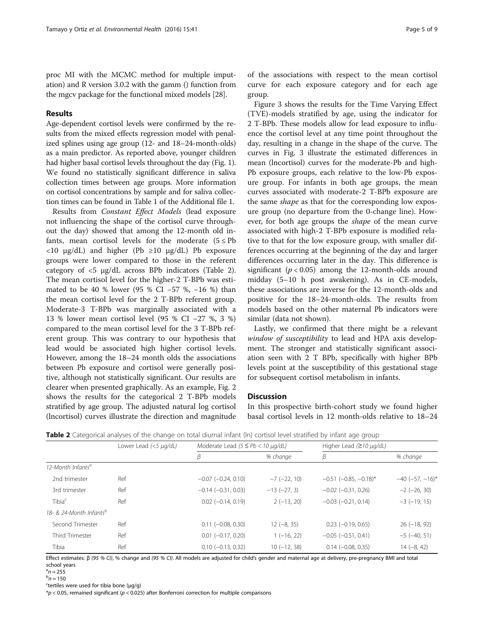proc MI with the MCMC method for multiple imputation) and R version 3.0.2 with the gamm () function from the mgcv package for the functional mixed models [[28](#page-8-0)].

# Results

Age-dependent cortisol levels were confirmed by the results from the mixed effects regression model with penalized splines using age group (12- and 18–24-month-olds) as a main predictor. As reported above, younger children had higher basal cortisol levels throughout the day (Fig. [1](#page-3-0)). We found no statistically significant difference in saliva collection times between age groups. More information on cortisol concentrations by sample and for saliva collection times can be found in Table 1 of the Additional file [1](#page-7-0).

Results from Constant Effect Models (lead exposure not influencing the shape of the cortisol curve throughout the day) showed that among the 12-month old infants, mean cortisol levels for the moderate  $(5 \le Pb$  $\langle 10 \mu g/dL \rangle$  and higher (Pb  $\geq 10 \mu g/dL$ ) Pb exposure groups were lower compared to those in the referent category of <5 μg/dL across BPb indicators (Table 2). The mean cortisol level for the higher-2 T-BPb was estimated to be 40 % lower (95 % CI −57 %, −16 %) than the mean cortisol level for the 2 T-BPb referent group. Moderate-3 T-BPb was marginally associated with a 13 % lower mean cortisol level (95 % CI −27 %, 3 %) compared to the mean cortisol level for the 3 T-BPb referent group. This was contrary to our hypothesis that lead would be associated high higher cortisol levels. However, among the 18–24 month olds the associations between Pb exposure and cortisol were generally positive, although not statistically significant. Our results are clearer when presented graphically. As an example, Fig. [2](#page-5-0) shows the results for the categorical 2 T-BPb models stratified by age group. The adjusted natural log cortisol (lncortisol) curves illustrate the direction and magnitude

of the associations with respect to the mean cortisol curve for each exposure category and for each age group.

Figure [3](#page-6-0) shows the results for the Time Varying Effect (TVE)-models stratified by age, using the indicator for 2 T-BPb. These models allow for lead exposure to influence the cortisol level at any time point throughout the day, resulting in a change in the shape of the curve. The curves in Fig. [3](#page-6-0) illustrate the estimated differences in mean (lncortisol) curves for the moderate-Pb and high-Pb exposure groups, each relative to the low-Pb exposure group. For infants in both age groups, the mean curves associated with moderate-2 T-BPb exposure are the same *shape* as that for the corresponding low exposure group (no departure from the 0-change line). However, for both age groups the shape of the mean curve associated with high-2 T-BPb exposure is modified relative to that for the low exposure group, with smaller differences occurring at the beginning of the day and larger differences occurring later in the day. This difference is significant ( $p < 0.05$ ) among the 12-month-olds around midday (5–10 h post awakening). As in CE-models, these associations are inverse for the 12-month-olds and positive for the 18–24-month-olds. The results from models based on the other maternal Pb indicators were similar (data not shown).

Lastly, we confirmed that there might be a relevant window of susceptibility to lead and HPA axis development. The stronger and statistically significant association seen with 2 T BPb, specifically with higher BPb levels point at the susceptibility of this gestational stage for subsequent cortisol metabolism in infants.

# **Discussion**

In this prospective birth-cohort study we found higher basal cortisol levels in 12 month-olds relative to 18–24

|                                     | Lower Lead (<5 µg/dL) | Moderate Lead $(5 \le Pb < 10 \mu q/dL)$ |                    | Higher Lead $(210 \mu g/dL)$   |                      |
|-------------------------------------|-----------------------|------------------------------------------|--------------------|--------------------------------|----------------------|
|                                     |                       |                                          | % change           | β                              | % change             |
| 12-Month Infants <sup>a</sup>       |                       |                                          |                    |                                |                      |
| 2nd trimester                       | Ref                   | $-0.07$ $(-0.24, 0.10)$                  | $-7$ ( $-22$ , 10) | $-0.51$ ( $-0.85$ , $-0.18$ )* | $-40$ $(-57, -16)$ * |
| 3rd trimester                       | Ref                   | $-0.14$ $(-0.31, 0.03)$                  | $-13 (-27, 3)$     | $-0.02$ $(-0.31, 0.26)$        | $-2$ ( $-26, 30$ )   |
| Tibia <sup>c</sup>                  | Ref                   | $0.02$ ( $-0.14$ , $0.19$ )              | $2(-13, 20)$       | $-0.03$ $(-0.21, 0.14)$        | $-3$ ( $-19$ , 15)   |
| 18- & 24-Month Infants <sup>b</sup> |                       |                                          |                    |                                |                      |
| Second Trimester                    | Ref                   | $0.11 (-0.08, 0.30)$                     | $12 (-8, 35)$      | $0.23$ ( $-0.19$ , $0.65$ )    | $26(-18, 92)$        |
| <b>Third Trimester</b>              | Ref                   | $0.01$ ( $-0.17$ , $0.20$ )              | $1(-16, 22)$       | $-0.05$ $(-0.51, 0.41)$        | $-5$ ( $-40, 51$ )   |
| Tibia                               | Ref                   | $0.10 (-0.13, 0.32)$                     | $10(-12, 38)$      | $0.14 (-0.08, 0.35)$           | $14 (-8, 42)$        |

Table 2 Categorical analyses of the change on total diurnal infant (In) cortisol level stratified by infant age group

Effect estimates:  $β$  (95 % CI), % change and (95 % CI). All models are adjusted for child's gender and maternal age at delivery, pre-pregnancy BMI and total school years

 $n = 255$ <br>b<sub>n</sub> = 150  $h - 150$ 

<sup>c</sup>tertiles were used for tibia bone ( $\mu$ q/q)

 $p < 0.05$ , remained significant ( $p < 0.025$ ) after Bonferroni correction for multiple comparisons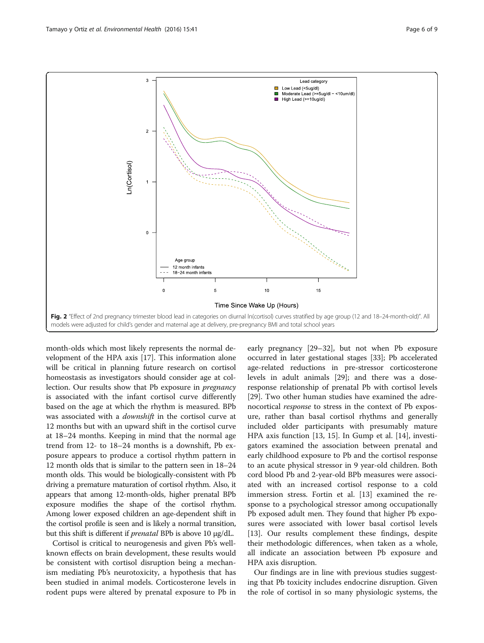<span id="page-5-0"></span>

month-olds which most likely represents the normal development of the HPA axis [\[17](#page-7-0)]. This information alone will be critical in planning future research on cortisol homeostasis as investigators should consider age at collection. Our results show that Pb exposure in pregnancy is associated with the infant cortisol curve differently based on the age at which the rhythm is measured. BPb was associated with a downshift in the cortisol curve at 12 months but with an upward shift in the cortisol curve at 18–24 months. Keeping in mind that the normal age trend from 12- to 18–24 months is a downshift, Pb exposure appears to produce a cortisol rhythm pattern in 12 month olds that is similar to the pattern seen in 18–24 month olds. This would be biologically-consistent with Pb driving a premature maturation of cortisol rhythm. Also, it appears that among 12-month-olds, higher prenatal BPb exposure modifies the shape of the cortisol rhythm. Among lower exposed children an age-dependent shift in the cortisol profile is seen and is likely a normal transition, but this shift is different if prenatal BPb is above 10 μg/dL.

Cortisol is critical to neurogenesis and given Pb's wellknown effects on brain development, these results would be consistent with cortisol disruption being a mechanism mediating Pb's neurotoxicity, a hypothesis that has been studied in animal models. Corticosterone levels in rodent pups were altered by prenatal exposure to Pb in early pregnancy [\[29](#page-8-0)–[32\]](#page-8-0), but not when Pb exposure occurred in later gestational stages [\[33\]](#page-8-0); Pb accelerated age-related reductions in pre-stressor corticosterone levels in adult animals [[29\]](#page-8-0); and there was a doseresponse relationship of prenatal Pb with cortisol levels [[29\]](#page-8-0). Two other human studies have examined the adrenocortical response to stress in the context of Pb exposure, rather than basal cortisol rhythms and generally included older participants with presumably mature HPA axis function [[13, 15\]](#page-7-0). In Gump et al. [\[14\]](#page-7-0), investigators examined the association between prenatal and early childhood exposure to Pb and the cortisol response to an acute physical stressor in 9 year-old children. Both cord blood Pb and 2-year-old BPb measures were associated with an increased cortisol response to a cold immersion stress. Fortin et al. [\[13](#page-7-0)] examined the response to a psychological stressor among occupationally Pb exposed adult men. They found that higher Pb exposures were associated with lower basal cortisol levels [[13\]](#page-7-0). Our results complement these findings, despite their methodologic differences, when taken as a whole, all indicate an association between Pb exposure and HPA axis disruption.

Our findings are in line with previous studies suggesting that Pb toxicity includes endocrine disruption. Given the role of cortisol in so many physiologic systems, the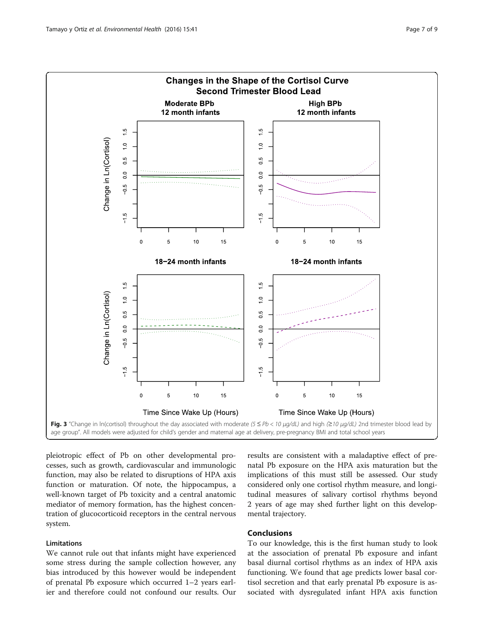<span id="page-6-0"></span>

pleiotropic effect of Pb on other developmental processes, such as growth, cardiovascular and immunologic function, may also be related to disruptions of HPA axis function or maturation. Of note, the hippocampus, a well-known target of Pb toxicity and a central anatomic mediator of memory formation, has the highest concentration of glucocorticoid receptors in the central nervous system.

# Limitations

We cannot rule out that infants might have experienced some stress during the sample collection however, any bias introduced by this however would be independent of prenatal Pb exposure which occurred 1–2 years earlier and therefore could not confound our results. Our

results are consistent with a maladaptive effect of prenatal Pb exposure on the HPA axis maturation but the implications of this must still be assessed. Our study considered only one cortisol rhythm measure, and longitudinal measures of salivary cortisol rhythms beyond 2 years of age may shed further light on this developmental trajectory.

# Conclusions

To our knowledge, this is the first human study to look at the association of prenatal Pb exposure and infant basal diurnal cortisol rhythms as an index of HPA axis functioning. We found that age predicts lower basal cortisol secretion and that early prenatal Pb exposure is associated with dysregulated infant HPA axis function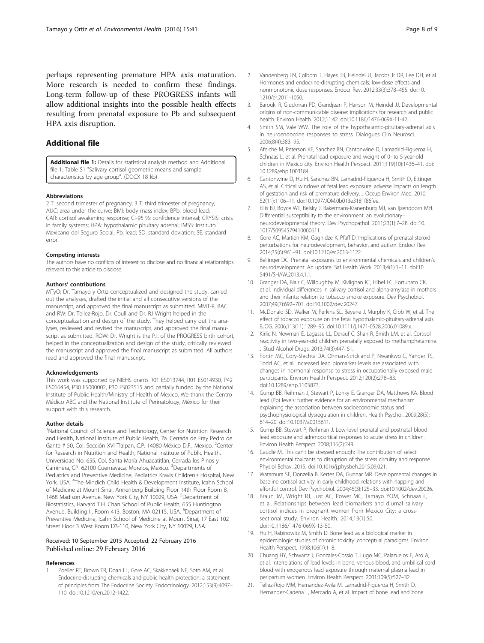<span id="page-7-0"></span>perhaps representing premature HPA axis maturation. More research is needed to confirm these findings. Long-term follow-up of these PROGRESS infants will allow additional insights into the possible health effects resulting from prenatal exposure to Pb and subsequent HPA axis disruption.

# Additional file

[Additional file 1:](dx.doi.org/10.1186/s12940-016-0124-1) Details for statistical analysis method and Additional file 1: Table S1 "Salivary cortisol geometric means and sample characteristics by age group". (DOCX 18 kb)

## Abbreviations

2 T: second trimester of pregnancy; 3 T: third trimester of pregnancy; AUC: area under the curve; BMI: body mass index; BPb: blood lead; CAR: cortisol awakening response; CI-95 %: confidence interval; CRYSIS: crisis in family systems; HPA: hypothalamic pituitary adrenal; IMSS: Instituto Mexicano del Seguro Social; Pb: lead; SD: standard deviation; SE: standard error.

#### Competing interests

The authors have no conflicts of interest to disclose and no financial relationships relevant to this article to disclose.

#### Authors' contributions

MTyO: Dr. Tamayo y Ortiz conceptualized and designed the study, carried out the analyses, drafted the initial and all consecutive versions of the manuscript, and approved the final manuscript as submitted. MMT-R, BAC and RW: Dr. Tellez-Rojo, Dr. Coull and Dr. RJ Wright helped in the conceptualization and design of the study. They helped carry out the analyses, reviewed and revised the manuscript, and approved the final manuscript as submitted. ROW: Dr. Wright is the P.I. of the PROGRESS birth cohort, helped in the conceptualization and design of the study, critically reviewed the manuscript and approved the final manuscript as submitted. All authors read and approved the final manuscript.

#### Acknowledgements

This work was supported by NIEHS grants R01 ES013744, R01 ES014930, P42 ES016454, P30 ES000002, P30 ES023515 and partially funded by the National Institute of Public Health/Ministry of Health of Mexico. We thank the Centro Médico ABC and the National Institute of Perinatology, México for their support with this research.

#### Author details

<sup>1</sup>National Council of Science and Technology, Center for Nutrition Research and Health, National Institute of Public Health, 7a. Cerrada de Fray Pedro de Gante # 50, Col. Sección XVI Tlalpan, C.P. 14080 México D.F., Mexico. <sup>2</sup>Center for Research in Nutrition and Health, National Institute of Public Health, Universidad No. 655, Col. Santa María Ahuacatitlán, Cerrada los Pinos y Caminera, CP. 62100 Cuernavaca, Morelos, Mexico. <sup>3</sup>Departments of Pediatrics and Preventive Medicine, Pediatrics Kravis Children's Hospital, New York, USA. <sup>4</sup>The Mindich Child Health & Development Institute, Icahn School of Medicine at Mount Sinai, Annenberg Building Floor 14th Floor Room 8, 1468 Madison Avenue, New York City, NY 10029, USA. <sup>5</sup>Department of Biostatistics, Harvard T.H. Chan School of Public Health, 655 Huntington Avenue, Building II, Room 413, Boston, MA 02115, USA. <sup>6</sup>Department of Preventive Medicine, Icahn School of Medicine at Mount Sinai, 17 East 102 Street Floor 3 West Room D3-110, New York City, NY 10029, USA.

## Received: 10 September 2015 Accepted: 22 February 2016 Published online: 29 February 2016

#### References

1. Zoeller RT, Brown TR, Doan LL, Gore AC, Skakkebaek NE, Soto AM, et al. Endocrine-disrupting chemicals and public health protection: a statement of principles from The Endocrine Society. Endocrinology. 2012;153(9):4097– 110. doi:[10.1210/en.2012-1422](http://dx.doi.org/10.1210/en.2012-1422).

- Vandenberg LN, Colborn T, Hayes TB, Heindel JJ, Jacobs Jr DR, Lee DH, et al. Hormones and endocrine-disrupting chemicals: low-dose effects and nonmonotonic dose responses. Endocr Rev. 2012;33(3):378–455. doi[:10.](http://dx.doi.org/10.1210/er.2011-1050) [1210/er.2011-1050.](http://dx.doi.org/10.1210/er.2011-1050)
- 3. Barouki R, Gluckman PD, Grandjean P, Hanson M, Heindel JJ. Developmental origins of non-communicable disease: implications for research and public health. Environ Health. 2012;11:42. doi[:10.1186/1476-069X-11-42](http://dx.doi.org/10.1186/1476-069X-11-42).
- Smith SM, Vale WW. The role of the hypothalamic-pituitary-adrenal axis in neuroendocrine responses to stress. Dialogues Clin Neurosci. 2006;8(4):383–95.
- 5. Afeiche M, Peterson KE, Sanchez BN, Cantonwine D, Lamadrid-Figueroa H, Schnaas L, et al. Prenatal lead exposure and weight of 0- to 5-year-old children in Mexico city. Environ Health Perspect. 2011;119(10):1436–41. doi: [10.1289/ehp.1003184.](http://dx.doi.org/10.1289/ehp.1003184)
- 6. Cantonwine D, Hu H, Sanchez BN, Lamadrid-Figueroa H, Smith D, Ettinger AS, et al. Critical windows of fetal lead exposure: adverse impacts on length of gestation and risk of premature delivery. J Occup Environ Med. 2010; 52(11):1106–11. doi:[10.1097/JOM.0b013e3181f86fee.](http://dx.doi.org/10.1097/JOM.0b013e3181f86fee)
- 7. Ellis BJ, Boyce WT, Belsky J, Bakermans-Kranenburg MJ, van Ijzendoorn MH. Differential susceptibility to the environment: an evolutionary– neurodevelopmental theory. Dev Psychopathol. 2011;23(1):7–28. doi[:10.](http://dx.doi.org/10.1017/S0954579410000611) [1017/S0954579410000611.](http://dx.doi.org/10.1017/S0954579410000611)
- 8. Gore AC, Martien KM, Gagnidze K, Pfaff D. Implications of prenatal steroid perturbations for neurodevelopment, behavior, and autism. Endocr Rev. 2014;35(6):961–91. doi:[10.1210/er.2013-1122](http://dx.doi.org/10.1210/er.2013-1122).
- 9. Bellinger DC. Prenatal exposures to environmental chemicals and children's neurodevelopment: An update. Saf Health Work. 2013;4(1):1–11. doi:[10.](http://dx.doi.org/10.5491/SHAW.2013.4.1.1) [5491/SHAW.2013.4.1.1](http://dx.doi.org/10.5491/SHAW.2013.4.1.1).
- 10. Granger DA, Blair C, Willoughby M, Kivlighan KT, Hibel LC, Fortunato CK, et al. Individual differences in salivary cortisol and alpha-amylase in mothers and their infants: relation to tobacco smoke exposure. Dev Psychobiol. 2007;49(7):692–701. doi[:10.1002/dev.20247](http://dx.doi.org/10.1002/dev.20247).
- 11. McDonald SD, Walker M, Perkins SL, Beyene J, Murphy K, Gibb W, et al. The effect of tobacco exposure on the fetal hypothalamic-pituitary-adrenal axis. BJOG. 2006;113(11):1289–95. doi:[10.1111/j.1471-0528.2006.01089.x](http://dx.doi.org/10.1111/j.1471-0528.2006.01089.x).
- 12. Kirlic N, Newman E, Lagasse LL, Derauf C, Shah R, Smith LM, et al. Cortisol reactivity in two-year-old children prenatally exposed to methamphetamine. J Stud Alcohol Drugs. 2013;74(3):447–51.
- 13. Fortin MC, Cory-Slechta DA, Ohman-Strickland P, Nwankwo C, Yanger TS, Todd AC, et al. Increased lead biomarker levels are associated with changes in hormonal response to stress in occupationally exposed male participants. Environ Health Perspect. 2012;120(2):278–83. doi[:10.1289/ehp.1103873](http://dx.doi.org/10.1289/ehp.1103873).
- 14. Gump BB, Reihman J, Stewart P, Lonky E, Granger DA, Matthews KA. Blood lead (Pb) levels: further evidence for an environmental mechanism explaining the association between socioeconomic status and psychophysiological dysregulation in children. Health Psychol. 2009;28(5): 614–20. doi:[10.1037/a0015611](http://dx.doi.org/10.1037/a0015611).
- 15. Gump BB, Stewart P, Reihman J. Low-level prenatal and postnatal blood lead exposure and adrenocortical responses to acute stress in children. Environ Health Perspect. 2008;116(2):249.
- 16. Caudle M. This can't be stressed enough: The contribution of select environmental toxicants to disruption of the stress circuitry and response. Physiol Behav. 2015. doi[:10.1016/j.physbeh.2015.09.021.](http://dx.doi.org/10.1016/j.physbeh.2015.09.021)
- 17. Watamura SE, Donzella B, Kertes DA, Gunnar MR. Developmental changes in baseline cortisol activity in early childhood: relations with napping and effortful control. Dev Psychobiol. 2004;45(3):125–33. doi:[10.1002/dev.20026.](http://dx.doi.org/10.1002/dev.20026)
- 18. Braun JM, Wright RJ, Just AC, Power MC, Tamayo YOM, Schnaas L, et al. Relationships between lead biomarkers and diurnal salivary cortisol indices in pregnant women from Mexico City: a crosssectional study. Environ Health. 2014;13(1):50. doi:[10.1186/1476-069X-13-50.](http://dx.doi.org/10.1186/1476-069X-13-50)
- 19. Hu H, Rabinowitz M, Smith D. Bone lead as a biological marker in epidemiologic studies of chronic toxicity: conceptual paradigms. Environ Health Perspect. 1998;106(1):1–8.
- 20. Chuang HY, Schwartz J, Gonzales-Cossio T, Lugo MC, Palazuelos E, Aro A, et al. Interrelations of lead levels in bone, venous blood, and umbilical cord blood with exogenous lead exposure through maternal plasma lead in peripartum women. Environ Health Perspect. 2001;109(5):527–32.
- 21. Tellez-Rojo MM, Hernandez-Avila M, Lamadrid-Figueroa H, Smith D, Hernandez-Cadena L, Mercado A, et al. Impact of bone lead and bone